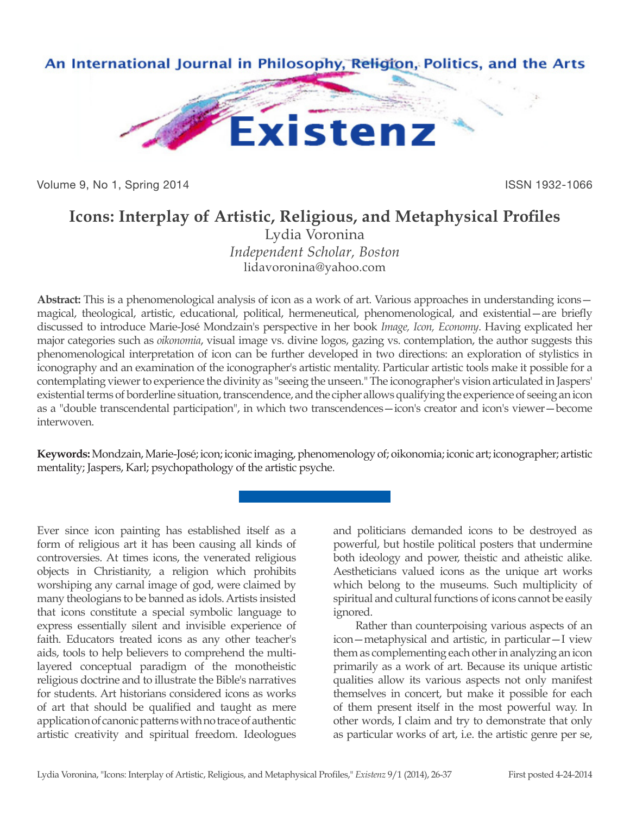

Volume 9, No 1, Spring 2014 **ISSN 1932-1066** 

# **Icons: Interplay of Artistic, Religious, and Metaphysical Profiles**

Lydia Voronina *Independent Scholar, Boston* lidavoronina@yahoo.com

**Abstract:** This is a phenomenological analysis of icon as a work of art. Various approaches in understanding icons magical, theological, artistic, educational, political, hermeneutical, phenomenological, and existential—are briefly discussed to introduce Marie-José Mondzain's perspective in her book *Image, Icon, Economy*. Having explicated her major categories such as *oikonomia*, visual image vs. divine logos, gazing vs. contemplation, the author suggests this phenomenological interpretation of icon can be further developed in two directions: an exploration of stylistics in iconography and an examination of the iconographer's artistic mentality. Particular artistic tools make it possible for a contemplating viewer to experience the divinity as "seeing the unseen." The iconographer's vision articulated in Jaspers' existential terms of borderline situation, transcendence, and the cipher allows qualifying the experience of seeing an icon as a "double transcendental participation", in which two transcendences—icon's creator and icon's viewer—become interwoven.

**Keywords:** Mondzain, Marie-José; icon; iconic imaging, phenomenology of; oikonomia; iconic art; iconographer; artistic mentality; Jaspers, Karl; psychopathology of the artistic psyche.

Ever since icon painting has established itself as a form of religious art it has been causing all kinds of controversies. At times icons, the venerated religious objects in Christianity, a religion which prohibits worshiping any carnal image of god, were claimed by many theologians to be banned as idols. Artists insisted that icons constitute a special symbolic language to express essentially silent and invisible experience of faith. Educators treated icons as any other teacher's aids, tools to help believers to comprehend the multilayered conceptual paradigm of the monotheistic religious doctrine and to illustrate the Bible's narratives for students. Art historians considered icons as works of art that should be qualified and taught as mere application of canonic patterns with no trace of authentic artistic creativity and spiritual freedom. Ideologues

and politicians demanded icons to be destroyed as powerful, but hostile political posters that undermine both ideology and power, theistic and atheistic alike. Aestheticians valued icons as the unique art works which belong to the museums. Such multiplicity of spiritual and cultural functions of icons cannot be easily ignored.

Rather than counterpoising various aspects of an icon—metaphysical and artistic, in particular—I view them as complementing each other in analyzing an icon primarily as a work of art. Because its unique artistic qualities allow its various aspects not only manifest themselves in concert, but make it possible for each of them present itself in the most powerful way. In other words, I claim and try to demonstrate that only as particular works of art, i.e. the artistic genre per se,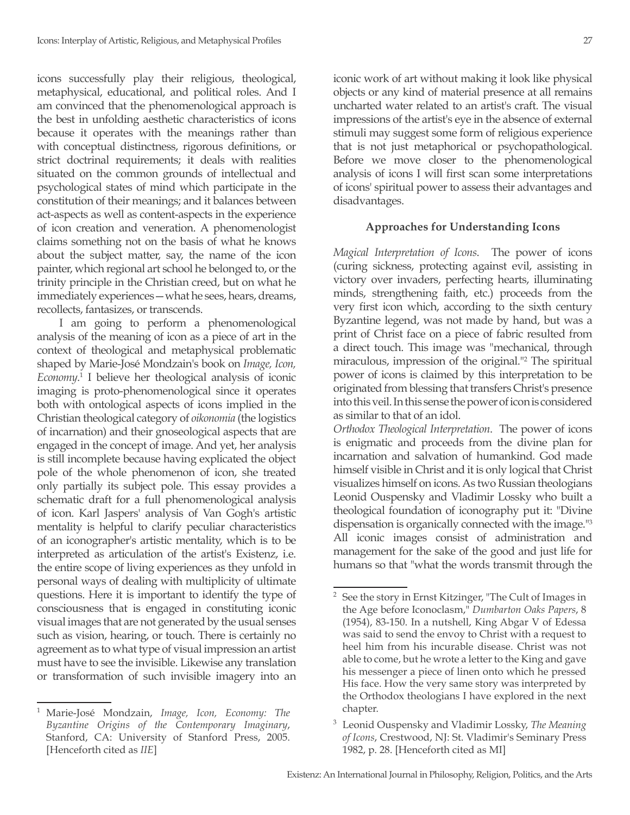icons successfully play their religious, theological, metaphysical, educational, and political roles. And I am convinced that the phenomenological approach is the best in unfolding aesthetic characteristics of icons because it operates with the meanings rather than with conceptual distinctness, rigorous definitions, or strict doctrinal requirements; it deals with realities situated on the common grounds of intellectual and psychological states of mind which participate in the constitution of their meanings; and it balances between act-aspects as well as content-aspects in the experience of icon creation and veneration. A phenomenologist claims something not on the basis of what he knows about the subject matter, say, the name of the icon painter, which regional art school he belonged to, or the trinity principle in the Christian creed, but on what he immediately experiences—what he sees, hears, dreams, recollects, fantasizes, or transcends.

I am going to perform a phenomenological analysis of the meaning of icon as a piece of art in the context of theological and metaphysical problematic shaped by Marie-José Mondzain's book on *Image, Icon, Economy*. 1 I believe her theological analysis of iconic imaging is proto-phenomenological since it operates both with ontological aspects of icons implied in the Christian theological category of *oikonomia* (the logistics of incarnation) and their gnoseological aspects that are engaged in the concept of image. And yet, her analysis is still incomplete because having explicated the object pole of the whole phenomenon of icon, she treated only partially its subject pole. This essay provides a schematic draft for a full phenomenological analysis of icon. Karl Jaspers' analysis of Van Gogh's artistic mentality is helpful to clarify peculiar characteristics of an iconographer's artistic mentality, which is to be interpreted as articulation of the artist's Existenz, i.e. the entire scope of living experiences as they unfold in personal ways of dealing with multiplicity of ultimate questions. Here it is important to identify the type of consciousness that is engaged in constituting iconic visual images that are not generated by the usual senses such as vision, hearing, or touch. There is certainly no agreement as to what type of visual impression an artist must have to see the invisible. Likewise any translation or transformation of such invisible imagery into an

<sup>1</sup> Marie-José Mondzain, *Image, Icon, Economy: The Byzantine Origins of the Contemporary Imaginary*, Stanford, CA: University of Stanford Press, 2005. [Henceforth cited as *IIE*]

iconic work of art without making it look like physical objects or any kind of material presence at all remains uncharted water related to an artist's craft. The visual impressions of the artist's eye in the absence of external stimuli may suggest some form of religious experience that is not just metaphorical or psychopathological. Before we move closer to the phenomenological analysis of icons I will first scan some interpretations of icons' spiritual power to assess their advantages and disadvantages.

#### **Approaches for Understanding Icons**

*Magical Interpretation of Icons*. The power of icons (curing sickness, protecting against evil, assisting in victory over invaders, perfecting hearts, illuminating minds, strengthening faith, etc.) proceeds from the very first icon which, according to the sixth century Byzantine legend, was not made by hand, but was a print of Christ face on a piece of fabric resulted from a direct touch. This image was "mechanical, through miraculous, impression of the original."<sup>2</sup> The spiritual power of icons is claimed by this interpretation to be originated from blessing that transfers Christ's presence into this veil. In this sense the power of icon is considered as similar to that of an idol.

*Orthodox Theological Interpretation*. The power of icons is enigmatic and proceeds from the divine plan for incarnation and salvation of humankind. God made himself visible in Christ and it is only logical that Christ visualizes himself on icons. As two Russian theologians Leonid Ouspensky and Vladimir Lossky who built a theological foundation of iconography put it: "Divine dispensation is organically connected with the image."3 All iconic images consist of administration and management for the sake of the good and just life for humans so that "what the words transmit through the

<sup>2</sup> See the story in Ernst Kitzinger, "The Cult of Images in the Age before Iconoclasm," *Dumbarton Oaks Papers*, 8 (1954), 83-150. In a nutshell, King Abgar V of Edessa was said to send the envoy to Christ with a request to heel him from his incurable disease. Christ was not able to come, but he wrote a letter to the King and gave his messenger a piece of linen onto which he pressed His face. How the very same story was interpreted by the Orthodox theologians I have explored in the next chapter.

<sup>3</sup> Leonid Ouspensky and Vladimir Lossky, *The Meaning of Icons*, Crestwood, NJ: St. Vladimir's Seminary Press 1982, p. 28. [Henceforth cited as MI]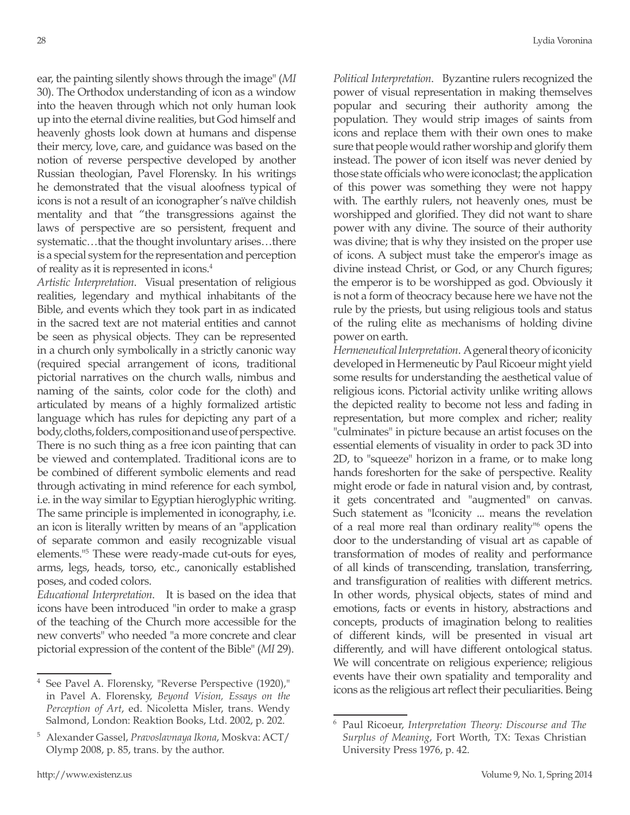ear, the painting silently shows through the image" (*MI*  30). The Orthodox understanding of icon as a window into the heaven through which not only human look up into the eternal divine realities, but God himself and heavenly ghosts look down at humans and dispense their mercy, love, care, and guidance was based on the notion of reverse perspective developed by another Russian theologian, Pavel Florensky. In his writings he demonstrated that the visual aloofness typical of icons is not a result of an iconographer's naïve childish mentality and that "the transgressions against the laws of perspective are so persistent, frequent and systematic…that the thought involuntary arises…there is a special system for the representation and perception of reality as it is represented in icons.4

*Artistic Interpretation*. Visual presentation of religious realities, legendary and mythical inhabitants of the Bible, and events which they took part in as indicated in the sacred text are not material entities and cannot be seen as physical objects. They can be represented in a church only symbolically in a strictly canonic way (required special arrangement of icons, traditional pictorial narratives on the church walls, nimbus and naming of the saints, color code for the cloth) and articulated by means of a highly formalized artistic language which has rules for depicting any part of a body, cloths, folders, composition and use of perspective. There is no such thing as a free icon painting that can be viewed and contemplated. Traditional icons are to be combined of different symbolic elements and read through activating in mind reference for each symbol, i.e. in the way similar to Egyptian hieroglyphic writing. The same principle is implemented in iconography, i.e. an icon is literally written by means of an "application of separate common and easily recognizable visual elements."5 These were ready-made cut-outs for eyes, arms, legs, heads, torso, etc., canonically established poses, and coded colors.

*Educational Interpretation*. It is based on the idea that icons have been introduced "in order to make a grasp of the teaching of the Church more accessible for the new converts" who needed "a more concrete and clear pictorial expression of the content of the Bible" (*MI* 29).

*Political Interpretation*. Byzantine rulers recognized the power of visual representation in making themselves popular and securing their authority among the population. They would strip images of saints from icons and replace them with their own ones to make sure that people would rather worship and glorify them instead. The power of icon itself was never denied by those state officials who were iconoclast; the application of this power was something they were not happy with. The earthly rulers, not heavenly ones, must be worshipped and glorified. They did not want to share power with any divine. The source of their authority was divine; that is why they insisted on the proper use of icons. A subject must take the emperor's image as divine instead Christ, or God, or any Church figures; the emperor is to be worshipped as god. Obviously it is not a form of theocracy because here we have not the rule by the priests, but using religious tools and status of the ruling elite as mechanisms of holding divine power on earth.

*Hermeneutical Interpretation*. A general theory of iconicity developed in Hermeneutic by Paul Ricoeur might yield some results for understanding the aesthetical value of religious icons. Pictorial activity unlike writing allows the depicted reality to become not less and fading in representation, but more complex and richer; reality "culminates" in picture because an artist focuses on the essential elements of visuality in order to pack 3D into 2D, to "squeeze" horizon in a frame, or to make long hands foreshorten for the sake of perspective. Reality might erode or fade in natural vision and, by contrast, it gets concentrated and "augmented" on canvas. Such statement as "Iconicity ... means the revelation of a real more real than ordinary reality"6 opens the door to the understanding of visual art as capable of transformation of modes of reality and performance of all kinds of transcending, translation, transferring, and transfiguration of realities with different metrics. In other words, physical objects, states of mind and emotions, facts or events in history, abstractions and concepts, products of imagination belong to realities of different kinds, will be presented in visual art differently, and will have different ontological status. We will concentrate on religious experience; religious events have their own spatiality and temporality and icons as the religious art reflect their peculiarities. Being

<sup>4</sup> See Pavel A. Florensky, "Reverse Perspective (1920)," in Pavel A. Florensky, *Beyond Vision, Essays on the Perception of Art*, ed. Nicoletta Misler, trans. Wendy Salmond, London: Reaktion Books, Ltd. 2002, p. 202.

<sup>5</sup> Alexander Gassel, *Pravoslavnaya Ikona*, Moskva: ACT/ Olymp 2008, p. 85, trans. by the author.

<sup>6</sup> Paul Ricoeur, *Interpretation Theory: Discourse and The Surplus of Meaning*, Fort Worth, TX: Texas Christian University Press 1976, p. 42.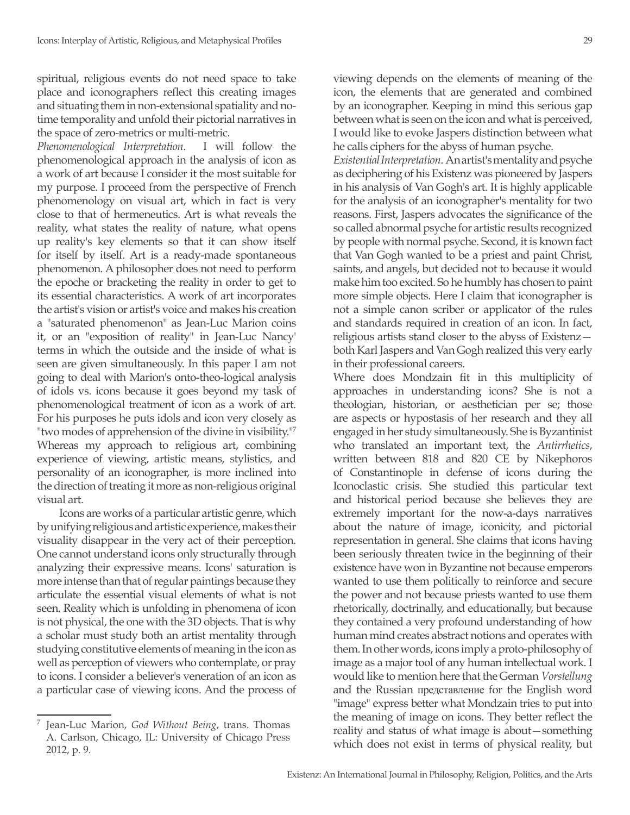spiritual, religious events do not need space to take place and iconographers reflect this creating images and situating them in non-extensional spatiality and notime temporality and unfold their pictorial narratives in the space of zero-metrics or multi-metric.

*Phenomenological Interpretation*. I will follow the phenomenological approach in the analysis of icon as a work of art because I consider it the most suitable for my purpose. I proceed from the perspective of French phenomenology on visual art, which in fact is very close to that of hermeneutics. Art is what reveals the reality, what states the reality of nature, what opens up reality's key elements so that it can show itself for itself by itself. Art is a ready-made spontaneous phenomenon. A philosopher does not need to perform the epoche or bracketing the reality in order to get to its essential characteristics. A work of art incorporates the artist's vision or artist's voice and makes his creation a "saturated phenomenon" as Jean-Luc Marion coins it, or an "exposition of reality" in Jean-Luc Nancy' terms in which the outside and the inside of what is seen are given simultaneously. In this paper I am not going to deal with Marion's onto-theo-logical analysis of idols vs. icons because it goes beyond my task of phenomenological treatment of icon as a work of art. For his purposes he puts idols and icon very closely as "two modes of apprehension of the divine in visibility."<sup>7</sup> Whereas my approach to religious art, combining experience of viewing, artistic means, stylistics, and personality of an iconographer, is more inclined into the direction of treating it more as non-religious original visual art.

Icons are works of a particular artistic genre, which by unifying religious and artistic experience, makes their visuality disappear in the very act of their perception. One cannot understand icons only structurally through analyzing their expressive means. Icons' saturation is more intense than that of regular paintings because they articulate the essential visual elements of what is not seen. Reality which is unfolding in phenomena of icon is not physical, the one with the 3D objects. That is why a scholar must study both an artist mentality through studying constitutive elements of meaning in the icon as well as perception of viewers who contemplate, or pray to icons. I consider a believer's veneration of an icon as a particular case of viewing icons. And the process of viewing depends on the elements of meaning of the icon, the elements that are generated and combined by an iconographer. Keeping in mind this serious gap between what is seen on the icon and what is perceived, I would like to evoke Jaspers distinction between what he calls ciphers for the abyss of human psyche.

*Existential Interpretation*. An artist's mentality and psyche as deciphering of his Existenz was pioneered by Jaspers in his analysis of Van Gogh's art. It is highly applicable for the analysis of an iconographer's mentality for two reasons. First, Jaspers advocates the significance of the so called abnormal psyche for artistic results recognized by people with normal psyche. Second, it is known fact that Van Gogh wanted to be a priest and paint Christ, saints, and angels, but decided not to because it would make him too excited. So he humbly has chosen to paint more simple objects. Here I claim that iconographer is not a simple canon scriber or applicator of the rules and standards required in creation of an icon. In fact, religious artists stand closer to the abyss of Existenz both Karl Jaspers and Van Gogh realized this very early in their professional careers.

Where does Mondzain fit in this multiplicity of approaches in understanding icons? She is not a theologian, historian, or aesthetician per se; those are aspects or hypostasis of her research and they all engaged in her study simultaneously. She is Byzantinist who translated an important text, the *Antirrhetics*, written between 818 and 820 CE by Nikephoros of Constantinople in defense of icons during the Iconoclastic crisis. She studied this particular text and historical period because she believes they are extremely important for the now-a-days narratives about the nature of image, iconicity, and pictorial representation in general. She claims that icons having been seriously threaten twice in the beginning of their existence have won in Byzantine not because emperors wanted to use them politically to reinforce and secure the power and not because priests wanted to use them rhetorically, doctrinally, and educationally, but because they contained a very profound understanding of how human mind creates abstract notions and operates with them. In other words, icons imply a proto-philosophy of image as a major tool of any human intellectual work. I would like to mention here that the German *Vorstellung*  and the Russian представление for the English word "image" express better what Mondzain tries to put into the meaning of image on icons. They better reflect the reality and status of what image is about—something which does not exist in terms of physical reality, but

<sup>7</sup> Jean-Luc Marion, *God Without Being*, trans. Thomas A. Carlson, Chicago, IL: University of Chicago Press 2012, p. 9.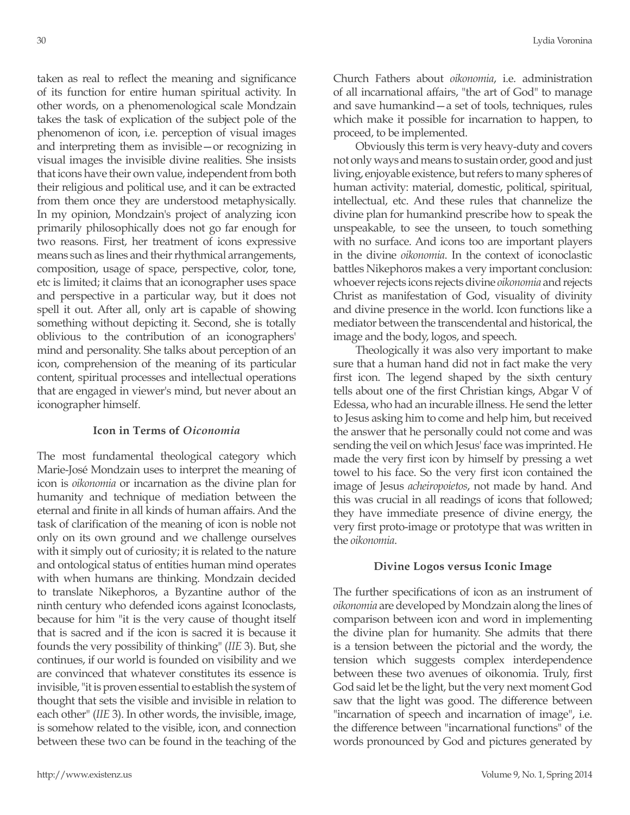taken as real to reflect the meaning and significance of its function for entire human spiritual activity. In other words, on a phenomenological scale Mondzain takes the task of explication of the subject pole of the phenomenon of icon, i.e. perception of visual images and interpreting them as invisible—or recognizing in visual images the invisible divine realities. She insists that icons have their own value, independent from both their religious and political use, and it can be extracted from them once they are understood metaphysically. In my opinion, Mondzain's project of analyzing icon primarily philosophically does not go far enough for two reasons. First, her treatment of icons expressive means such as lines and their rhythmical arrangements, composition, usage of space, perspective, color, tone, etc is limited; it claims that an iconographer uses space and perspective in a particular way, but it does not spell it out. After all, only art is capable of showing something without depicting it. Second, she is totally oblivious to the contribution of an iconographers' mind and personality. She talks about perception of an icon, comprehension of the meaning of its particular content, spiritual processes and intellectual operations that are engaged in viewer's mind, but never about an iconographer himself.

## **Icon in Terms of** *Oiconomia*

The most fundamental theological category which Marie-José Mondzain uses to interpret the meaning of icon is *oikonomia* or incarnation as the divine plan for humanity and technique of mediation between the eternal and finite in all kinds of human affairs. And the task of clarification of the meaning of icon is noble not only on its own ground and we challenge ourselves with it simply out of curiosity; it is related to the nature and ontological status of entities human mind operates with when humans are thinking. Mondzain decided to translate Nikephoros, a Byzantine author of the ninth century who defended icons against Iconoclasts, because for him "it is the very cause of thought itself that is sacred and if the icon is sacred it is because it founds the very possibility of thinking" (*IIE* 3). But, she continues, if our world is founded on visibility and we are convinced that whatever constitutes its essence is invisible, "it is proven essential to establish the system of thought that sets the visible and invisible in relation to each other" (*IIE* 3). In other words, the invisible, image, is somehow related to the visible, icon, and connection between these two can be found in the teaching of the

Church Fathers about *oikonomia*, i.e. administration of all incarnational affairs, "the art of God" to manage and save humankind—a set of tools, techniques, rules which make it possible for incarnation to happen, to proceed, to be implemented.

Obviously this term is very heavy-duty and covers not only ways and means to sustain order, good and just living, enjoyable existence, but refers to many spheres of human activity: material, domestic, political, spiritual, intellectual, etc. And these rules that channelize the divine plan for humankind prescribe how to speak the unspeakable, to see the unseen, to touch something with no surface. And icons too are important players in the divine *oikonomia*. In the context of iconoclastic battles Nikephoros makes a very important conclusion: whoever rejects icons rejects divine *oikonomia* and rejects Christ as manifestation of God, visuality of divinity and divine presence in the world. Icon functions like a mediator between the transcendental and historical, the image and the body, logos, and speech.

Theologically it was also very important to make sure that a human hand did not in fact make the very first icon. The legend shaped by the sixth century tells about one of the first Christian kings, Abgar V of Edessa, who had an incurable illness. He send the letter to Jesus asking him to come and help him, but received the answer that he personally could not come and was sending the veil on which Jesus' face was imprinted. He made the very first icon by himself by pressing a wet towel to his face. So the very first icon contained the image of Jesus *acheiropoietos*, not made by hand. And this was crucial in all readings of icons that followed; they have immediate presence of divine energy, the very first proto-image or prototype that was written in the *oikonomia*.

### **Divine Logos versus Iconic Image**

The further specifications of icon as an instrument of *oikonomia* are developed by Mondzain along the lines of comparison between icon and word in implementing the divine plan for humanity. She admits that there is a tension between the pictorial and the wordy, the tension which suggests complex interdependence between these two avenues of oikonomia. Truly, first God said let be the light, but the very next moment God saw that the light was good. The difference between "incarnation of speech and incarnation of image", i.e. the difference between "incarnational functions" of the words pronounced by God and pictures generated by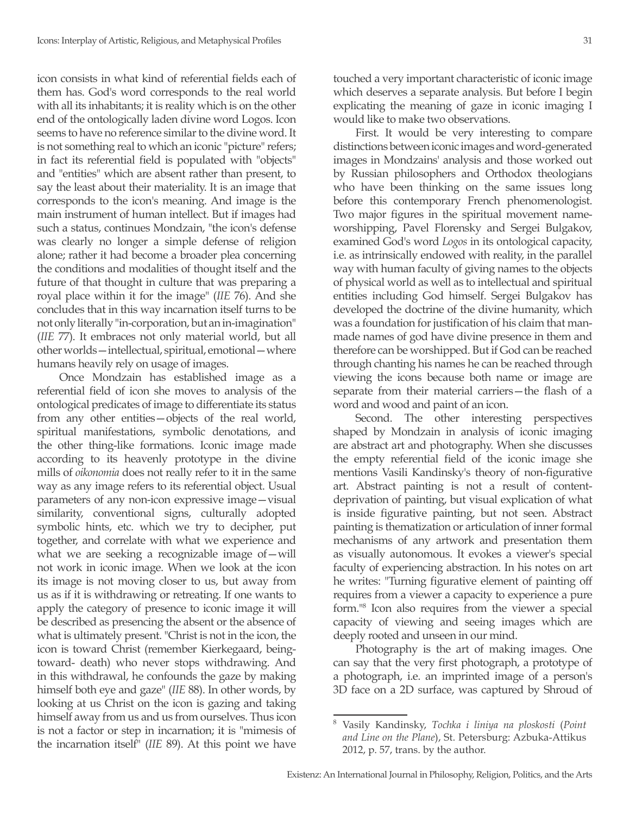icon consists in what kind of referential fields each of them has. God's word corresponds to the real world with all its inhabitants; it is reality which is on the other end of the ontologically laden divine word Logos. Icon seems to have no reference similar to the divine word. It is not something real to which an iconic "picture" refers; in fact its referential field is populated with "objects" and "entities" which are absent rather than present, to say the least about their materiality. It is an image that corresponds to the icon's meaning. And image is the main instrument of human intellect. But if images had such a status, continues Mondzain, "the icon's defense was clearly no longer a simple defense of religion alone; rather it had become a broader plea concerning the conditions and modalities of thought itself and the future of that thought in culture that was preparing a royal place within it for the image" (*IIE* 76). And she concludes that in this way incarnation itself turns to be not only literally "in-corporation, but an in-imagination" (*IIE* 77). It embraces not only material world, but all other worlds—intellectual, spiritual, emotional—where humans heavily rely on usage of images.

Once Mondzain has established image as a referential field of icon she moves to analysis of the ontological predicates of image to differentiate its status from any other entities—objects of the real world, spiritual manifestations, symbolic denotations, and the other thing-like formations. Iconic image made according to its heavenly prototype in the divine mills of *oikonomia* does not really refer to it in the same way as any image refers to its referential object. Usual parameters of any non-icon expressive image—visual similarity, conventional signs, culturally adopted symbolic hints, etc. which we try to decipher, put together, and correlate with what we experience and what we are seeking a recognizable image of - will not work in iconic image. When we look at the icon its image is not moving closer to us, but away from us as if it is withdrawing or retreating. If one wants to apply the category of presence to iconic image it will be described as presencing the absent or the absence of what is ultimately present. "Christ is not in the icon, the icon is toward Christ (remember Kierkegaard, beingtoward- death) who never stops withdrawing. And in this withdrawal, he confounds the gaze by making himself both eye and gaze" (*IIE* 88). In other words, by looking at us Christ on the icon is gazing and taking himself away from us and us from ourselves. Thus icon is not a factor or step in incarnation; it is "mimesis of the incarnation itself" (*IIE* 89). At this point we have touched a very important characteristic of iconic image which deserves a separate analysis. But before I begin explicating the meaning of gaze in iconic imaging I would like to make two observations.

First. It would be very interesting to compare distinctions between iconic images and word-generated images in Mondzains' analysis and those worked out by Russian philosophers and Orthodox theologians who have been thinking on the same issues long before this contemporary French phenomenologist. Two major figures in the spiritual movement nameworshipping, Pavel Florensky and Sergei Bulgakov, examined God's word *Logos* in its ontological capacity, i.e. as intrinsically endowed with reality, in the parallel way with human faculty of giving names to the objects of physical world as well as to intellectual and spiritual entities including God himself. Sergei Bulgakov has developed the doctrine of the divine humanity, which was a foundation for justification of his claim that manmade names of god have divine presence in them and therefore can be worshipped. But if God can be reached through chanting his names he can be reached through viewing the icons because both name or image are separate from their material carriers—the flash of a word and wood and paint of an icon.

Second. The other interesting perspectives shaped by Mondzain in analysis of iconic imaging are abstract art and photography. When she discusses the empty referential field of the iconic image she mentions Vasili Kandinsky's theory of non-figurative art. Abstract painting is not a result of contentdeprivation of painting, but visual explication of what is inside figurative painting, but not seen. Abstract painting is thematization or articulation of inner formal mechanisms of any artwork and presentation them as visually autonomous. It evokes a viewer's special faculty of experiencing abstraction. In his notes on art he writes: "Turning figurative element of painting off requires from a viewer a capacity to experience a pure form."8 Icon also requires from the viewer a special capacity of viewing and seeing images which are deeply rooted and unseen in our mind.

Photography is the art of making images. One can say that the very first photograph, a prototype of a photograph, i.e. an imprinted image of a person's 3D face on a 2D surface, was captured by Shroud of

<sup>8</sup> Vasily Kandinsky, *Tochka i liniya na ploskosti* (*Point and Line on the Plane*), St. Petersburg: Azbuka-Attikus 2012, p. 57, trans. by the author.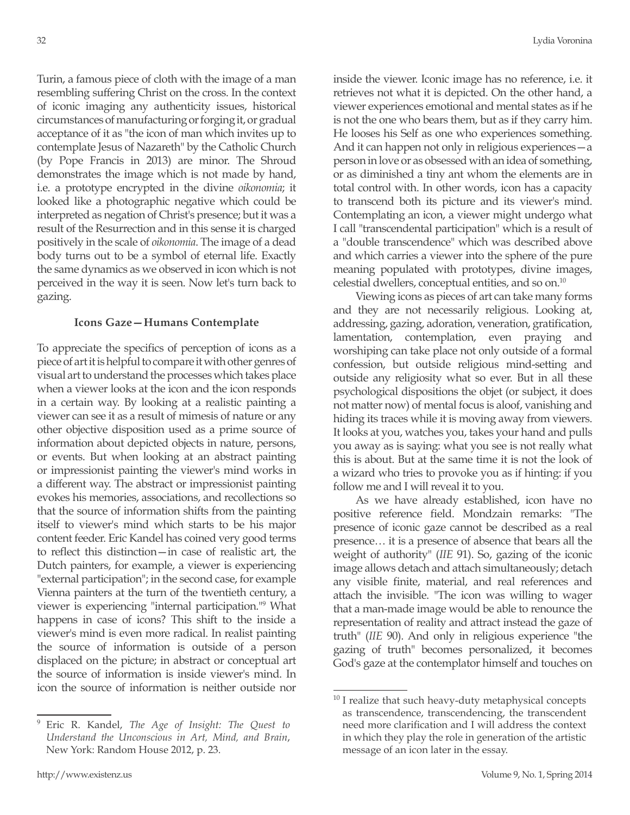Turin, a famous piece of cloth with the image of a man resembling suffering Christ on the cross. In the context of iconic imaging any authenticity issues, historical circumstances of manufacturing or forging it, or gradual acceptance of it as "the icon of man which invites up to contemplate Jesus of Nazareth" by the Catholic Church (by Pope Francis in 2013) are minor. The Shroud demonstrates the image which is not made by hand, i.e. a prototype encrypted in the divine *oikonomia*; it looked like a photographic negative which could be interpreted as negation of Christ's presence; but it was a result of the Resurrection and in this sense it is charged positively in the scale of *oikonomia*. The image of a dead body turns out to be a symbol of eternal life. Exactly the same dynamics as we observed in icon which is not perceived in the way it is seen. Now let's turn back to gazing.

## **Icons Gaze—Humans Contemplate**

To appreciate the specifics of perception of icons as a piece of art it is helpful to compare it with other genres of visual art to understand the processes which takes place when a viewer looks at the icon and the icon responds in a certain way. By looking at a realistic painting a viewer can see it as a result of mimesis of nature or any other objective disposition used as a prime source of information about depicted objects in nature, persons, or events. But when looking at an abstract painting or impressionist painting the viewer's mind works in a different way. The abstract or impressionist painting evokes his memories, associations, and recollections so that the source of information shifts from the painting itself to viewer's mind which starts to be his major content feeder. Eric Kandel has coined very good terms to reflect this distinction—in case of realistic art, the Dutch painters, for example, a viewer is experiencing "external participation"; in the second case, for example Vienna painters at the turn of the twentieth century, a viewer is experiencing "internal participation."9 What happens in case of icons? This shift to the inside a viewer's mind is even more radical. In realist painting the source of information is outside of a person displaced on the picture; in abstract or conceptual art the source of information is inside viewer's mind. In icon the source of information is neither outside nor

<sup>9</sup> Eric R. Kandel, *The Age of Insight: The Quest to Understand the Unconscious in Art, Mind, and Brain*, New York: Random House 2012, p. 23.

inside the viewer. Iconic image has no reference, i.e. it retrieves not what it is depicted. On the other hand, a viewer experiences emotional and mental states as if he is not the one who bears them, but as if they carry him. He looses his Self as one who experiences something. And it can happen not only in religious experiences—a person in love or as obsessed with an idea of something, or as diminished a tiny ant whom the elements are in total control with. In other words, icon has a capacity to transcend both its picture and its viewer's mind. Contemplating an icon, a viewer might undergo what I call "transcendental participation" which is a result of a "double transcendence" which was described above and which carries a viewer into the sphere of the pure meaning populated with prototypes, divine images, celestial dwellers, conceptual entities, and so on.<sup>10</sup>

Viewing icons as pieces of art can take many forms and they are not necessarily religious. Looking at, addressing, gazing, adoration, veneration, gratification, lamentation, contemplation, even praying and worshiping can take place not only outside of a formal confession, but outside religious mind-setting and outside any religiosity what so ever. But in all these psychological dispositions the objet (or subject, it does not matter now) of mental focus is aloof, vanishing and hiding its traces while it is moving away from viewers. It looks at you, watches you, takes your hand and pulls you away as is saying: what you see is not really what this is about. But at the same time it is not the look of a wizard who tries to provoke you as if hinting: if you follow me and I will reveal it to you.

As we have already established, icon have no positive reference field. Mondzain remarks: "The presence of iconic gaze cannot be described as a real presence… it is a presence of absence that bears all the weight of authority" (*IIE* 91). So, gazing of the iconic image allows detach and attach simultaneously; detach any visible finite, material, and real references and attach the invisible. "The icon was willing to wager that a man-made image would be able to renounce the representation of reality and attract instead the gaze of truth" (*IIE* 90). And only in religious experience "the gazing of truth" becomes personalized, it becomes God's gaze at the contemplator himself and touches on

 $10$  I realize that such heavy-duty metaphysical concepts as transcendence, transcendencing, the transcendent need more clarification and I will address the context in which they play the role in generation of the artistic message of an icon later in the essay.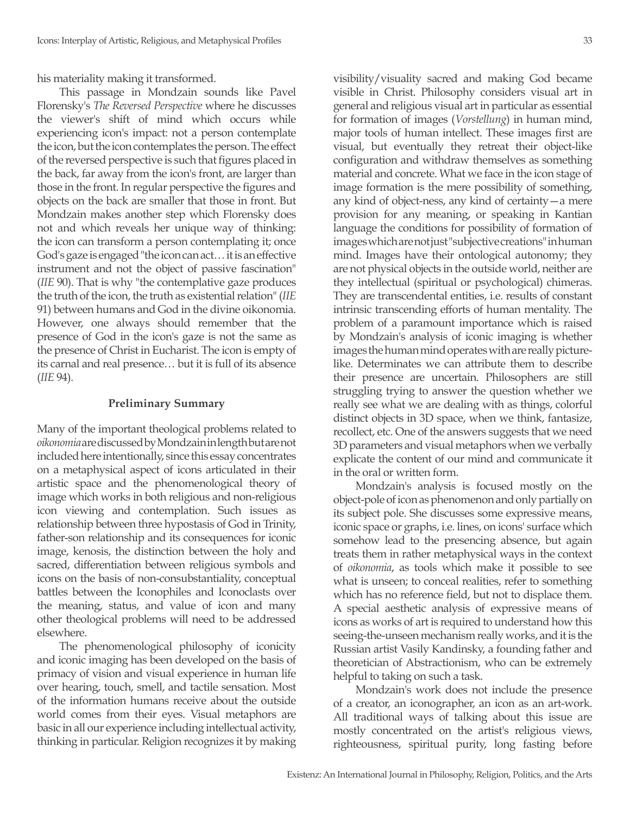his materiality making it transformed.

This passage in Mondzain sounds like Pavel Florensky's *The Reversed Perspective* where he discusses the viewer's shift of mind which occurs while experiencing icon's impact: not a person contemplate the icon, but the icon contemplates the person. The effect of the reversed perspective is such that figures placed in the back, far away from the icon's front, are larger than those in the front. In regular perspective the figures and objects on the back are smaller that those in front. But Mondzain makes another step which Florensky does not and which reveals her unique way of thinking: the icon can transform a person contemplating it; once God's gaze is engaged "the icon can act… it is an effective instrument and not the object of passive fascination" (*IIE* 90). That is why "the contemplative gaze produces the truth of the icon, the truth as existential relation" (*IIE* 91) between humans and God in the divine oikonomia. However, one always should remember that the presence of God in the icon's gaze is not the same as the presence of Christ in Eucharist. The icon is empty of its carnal and real presence… but it is full of its absence (*IIE* 94).

#### **Preliminary Summary**

Many of the important theological problems related to *oikonomia* are discussed by Mondzain in length but are not included here intentionally, since this essay concentrates on a metaphysical aspect of icons articulated in their artistic space and the phenomenological theory of image which works in both religious and non-religious icon viewing and contemplation. Such issues as relationship between three hypostasis of God in Trinity, father-son relationship and its consequences for iconic image, kenosis, the distinction between the holy and sacred, differentiation between religious symbols and icons on the basis of non-consubstantiality, conceptual battles between the Iconophiles and Iconoclasts over the meaning, status, and value of icon and many other theological problems will need to be addressed elsewhere.

The phenomenological philosophy of iconicity and iconic imaging has been developed on the basis of primacy of vision and visual experience in human life over hearing, touch, smell, and tactile sensation. Most of the information humans receive about the outside world comes from their eyes. Visual metaphors are basic in all our experience including intellectual activity, thinking in particular. Religion recognizes it by making visibility/visuality sacred and making God became visible in Christ. Philosophy considers visual art in general and religious visual art in particular as essential for formation of images (*Vorstellung*) in human mind, major tools of human intellect. These images first are visual, but eventually they retreat their object-like configuration and withdraw themselves as something material and concrete. What we face in the icon stage of image formation is the mere possibility of something, any kind of object-ness, any kind of certainty—a mere provision for any meaning, or speaking in Kantian language the conditions for possibility of formation of images which are not just "subjective creations" in human mind. Images have their ontological autonomy; they are not physical objects in the outside world, neither are they intellectual (spiritual or psychological) chimeras. They are transcendental entities, i.e. results of constant intrinsic transcending efforts of human mentality. The problem of a paramount importance which is raised by Mondzain's analysis of iconic imaging is whether images the human mind operates with are really picturelike. Determinates we can attribute them to describe their presence are uncertain. Philosophers are still struggling trying to answer the question whether we really see what we are dealing with as things, colorful distinct objects in 3D space, when we think, fantasize, recollect, etc. One of the answers suggests that we need 3D parameters and visual metaphors when we verbally explicate the content of our mind and communicate it in the oral or written form.

Mondzain's analysis is focused mostly on the object-pole of icon as phenomenon and only partially on its subject pole. She discusses some expressive means, iconic space or graphs, i.e. lines, on icons' surface which somehow lead to the presencing absence, but again treats them in rather metaphysical ways in the context of *oikonomia*, as tools which make it possible to see what is unseen; to conceal realities, refer to something which has no reference field, but not to displace them. A special aesthetic analysis of expressive means of icons as works of art is required to understand how this seeing-the-unseen mechanism really works, and it is the Russian artist Vasily Kandinsky, a founding father and theoretician of Abstractionism, who can be extremely helpful to taking on such a task.

Mondzain's work does not include the presence of a creator, an iconographer, an icon as an art-work. All traditional ways of talking about this issue are mostly concentrated on the artist's religious views, righteousness, spiritual purity, long fasting before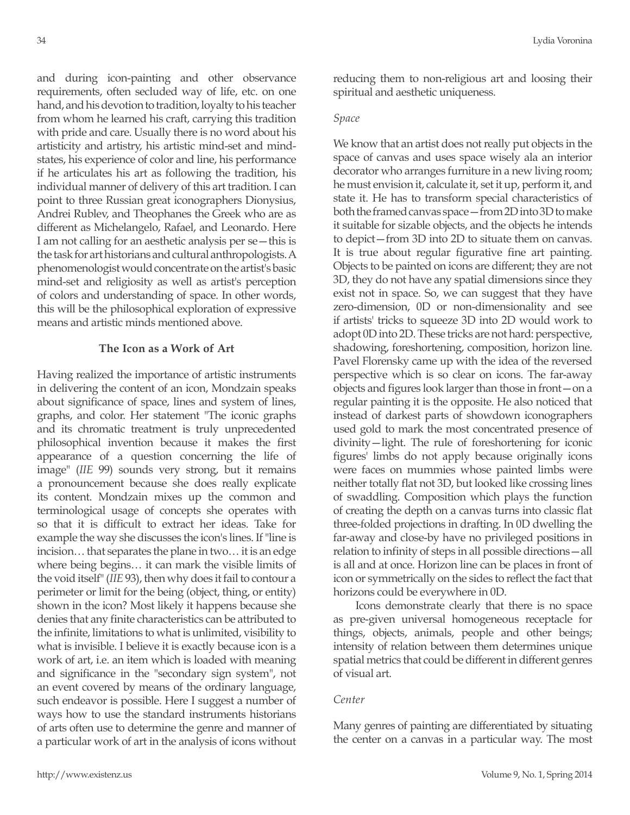and during icon-painting and other observance requirements, often secluded way of life, etc. on one hand, and his devotion to tradition, loyalty to his teacher from whom he learned his craft, carrying this tradition with pride and care. Usually there is no word about his artisticity and artistry, his artistic mind-set and mindstates, his experience of color and line, his performance if he articulates his art as following the tradition, his individual manner of delivery of this art tradition. I can point to three Russian great iconographers Dionysius, Andrei Rublev, and Theophanes the Greek who are as different as Michelangelo, Rafael, and Leonardo. Here I am not calling for an aesthetic analysis per se—this is the task for art historians and cultural anthropologists. A phenomenologist would concentrate on the artist's basic mind-set and religiosity as well as artist's perception of colors and understanding of space. In other words, this will be the philosophical exploration of expressive means and artistic minds mentioned above.

## **The Icon as a Work of Art**

Having realized the importance of artistic instruments in delivering the content of an icon, Mondzain speaks about significance of space, lines and system of lines, graphs, and color. Her statement "The iconic graphs and its chromatic treatment is truly unprecedented philosophical invention because it makes the first appearance of a question concerning the life of image" (*IIE* 99) sounds very strong, but it remains a pronouncement because she does really explicate its content. Mondzain mixes up the common and terminological usage of concepts she operates with so that it is difficult to extract her ideas. Take for example the way she discusses the icon's lines. If "line is incision… that separates the plane in two… it is an edge where being begins… it can mark the visible limits of the void itself" (*IIE* 93), then why does it fail to contour a perimeter or limit for the being (object, thing, or entity) shown in the icon? Most likely it happens because she denies that any finite characteristics can be attributed to the infinite, limitations to what is unlimited, visibility to what is invisible. I believe it is exactly because icon is a work of art, i.e. an item which is loaded with meaning and significance in the "secondary sign system", not an event covered by means of the ordinary language, such endeavor is possible. Here I suggest a number of ways how to use the standard instruments historians of arts often use to determine the genre and manner of a particular work of art in the analysis of icons without reducing them to non-religious art and loosing their spiritual and aesthetic uniqueness.

## *Space*

We know that an artist does not really put objects in the space of canvas and uses space wisely ala an interior decorator who arranges furniture in a new living room; he must envision it, calculate it, set it up, perform it, and state it. He has to transform special characteristics of both the framed canvas space—from 2D into 3D to make it suitable for sizable objects, and the objects he intends to depict—from 3D into 2D to situate them on canvas. It is true about regular figurative fine art painting. Objects to be painted on icons are different; they are not 3D, they do not have any spatial dimensions since they exist not in space. So, we can suggest that they have zero-dimension, 0D or non-dimensionality and see if artists' tricks to squeeze 3D into 2D would work to adopt 0D into 2D. These tricks are not hard: perspective, shadowing, foreshortening, composition, horizon line. Pavel Florensky came up with the idea of the reversed perspective which is so clear on icons. The far-away objects and figures look larger than those in front—on a regular painting it is the opposite. He also noticed that instead of darkest parts of showdown iconographers used gold to mark the most concentrated presence of divinity—light. The rule of foreshortening for iconic figures' limbs do not apply because originally icons were faces on mummies whose painted limbs were neither totally flat not 3D, but looked like crossing lines of swaddling. Composition which plays the function of creating the depth on a canvas turns into classic flat three-folded projections in drafting. In 0D dwelling the far-away and close-by have no privileged positions in relation to infinity of steps in all possible directions—all is all and at once. Horizon line can be places in front of icon or symmetrically on the sides to reflect the fact that horizons could be everywhere in 0D.

Icons demonstrate clearly that there is no space as pre-given universal homogeneous receptacle for things, objects, animals, people and other beings; intensity of relation between them determines unique spatial metrics that could be different in different genres of visual art.

# *Center*

Many genres of painting are differentiated by situating the center on a canvas in a particular way. The most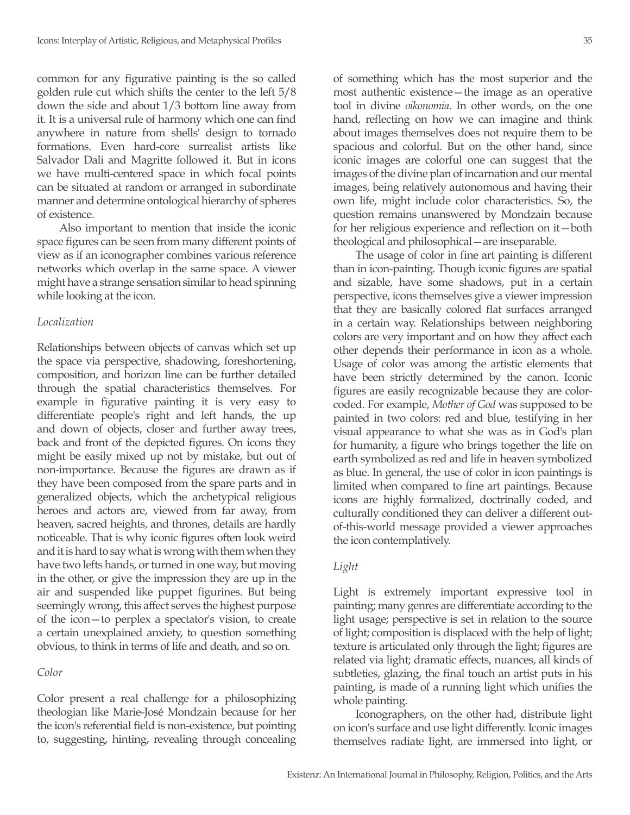common for any figurative painting is the so called golden rule cut which shifts the center to the left 5/8 down the side and about 1/3 bottom line away from it. It is a universal rule of harmony which one can find anywhere in nature from shells' design to tornado formations. Even hard-core surrealist artists like Salvador Dali and Magritte followed it. But in icons we have multi-centered space in which focal points can be situated at random or arranged in subordinate manner and determine ontological hierarchy of spheres of existence.

Also important to mention that inside the iconic space figures can be seen from many different points of view as if an iconographer combines various reference networks which overlap in the same space. A viewer might have a strange sensation similar to head spinning while looking at the icon.

### *Localization*

Relationships between objects of canvas which set up the space via perspective, shadowing, foreshortening, composition, and horizon line can be further detailed through the spatial characteristics themselves. For example in figurative painting it is very easy to differentiate people's right and left hands, the up and down of objects, closer and further away trees, back and front of the depicted figures. On icons they might be easily mixed up not by mistake, but out of non-importance. Because the figures are drawn as if they have been composed from the spare parts and in generalized objects, which the archetypical religious heroes and actors are, viewed from far away, from heaven, sacred heights, and thrones, details are hardly noticeable. That is why iconic figures often look weird and it is hard to say what is wrong with them when they have two lefts hands, or turned in one way, but moving in the other, or give the impression they are up in the air and suspended like puppet figurines. But being seemingly wrong, this affect serves the highest purpose of the icon—to perplex a spectator's vision, to create a certain unexplained anxiety, to question something obvious, to think in terms of life and death, and so on.

#### *Color*

Color present a real challenge for a philosophizing theologian like Marie-José Mondzain because for her the icon's referential field is non-existence, but pointing to, suggesting, hinting, revealing through concealing of something which has the most superior and the most authentic existence—the image as an operative tool in divine *oikonomia*. In other words, on the one hand, reflecting on how we can imagine and think about images themselves does not require them to be spacious and colorful. But on the other hand, since iconic images are colorful one can suggest that the images of the divine plan of incarnation and our mental images, being relatively autonomous and having their own life, might include color characteristics. So, the question remains unanswered by Mondzain because for her religious experience and reflection on it—both theological and philosophical—are inseparable.

The usage of color in fine art painting is different than in icon-painting. Though iconic figures are spatial and sizable, have some shadows, put in a certain perspective, icons themselves give a viewer impression that they are basically colored flat surfaces arranged in a certain way. Relationships between neighboring colors are very important and on how they affect each other depends their performance in icon as a whole. Usage of color was among the artistic elements that have been strictly determined by the canon. Iconic figures are easily recognizable because they are colorcoded. For example, *Mother of God* was supposed to be painted in two colors: red and blue, testifying in her visual appearance to what she was as in God's plan for humanity, a figure who brings together the life on earth symbolized as red and life in heaven symbolized as blue. In general, the use of color in icon paintings is limited when compared to fine art paintings. Because icons are highly formalized, doctrinally coded, and culturally conditioned they can deliver a different outof-this-world message provided a viewer approaches the icon contemplatively.

#### *Light*

Light is extremely important expressive tool in painting; many genres are differentiate according to the light usage; perspective is set in relation to the source of light; composition is displaced with the help of light; texture is articulated only through the light; figures are related via light; dramatic effects, nuances, all kinds of subtleties, glazing, the final touch an artist puts in his painting, is made of a running light which unifies the whole painting.

Iconographers, on the other had, distribute light on icon's surface and use light differently. Iconic images themselves radiate light, are immersed into light, or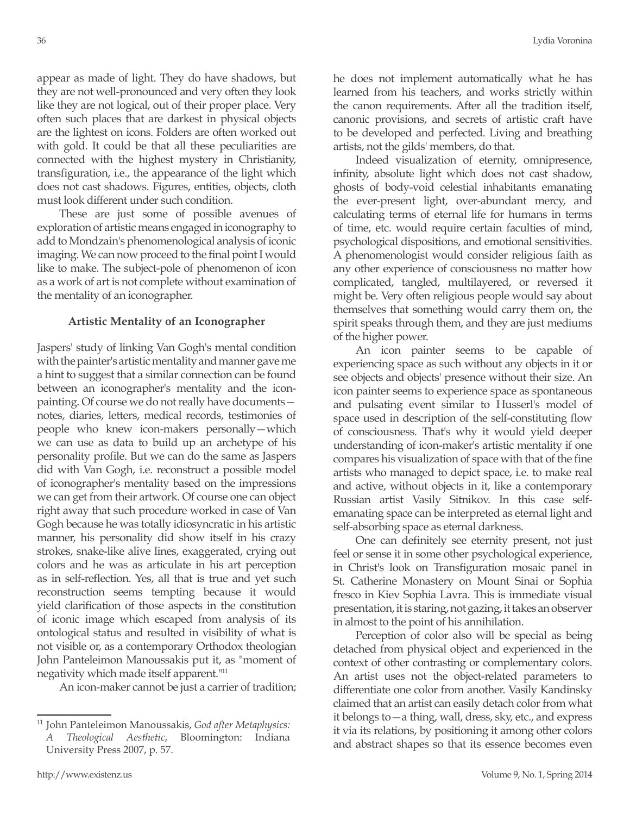appear as made of light. They do have shadows, but they are not well-pronounced and very often they look like they are not logical, out of their proper place. Very often such places that are darkest in physical objects are the lightest on icons. Folders are often worked out with gold. It could be that all these peculiarities are connected with the highest mystery in Christianity, transfiguration, i.e., the appearance of the light which does not cast shadows. Figures, entities, objects, cloth must look different under such condition.

These are just some of possible avenues of exploration of artistic means engaged in iconography to add to Mondzain's phenomenological analysis of iconic imaging. We can now proceed to the final point I would like to make. The subject-pole of phenomenon of icon as a work of art is not complete without examination of the mentality of an iconographer.

# **Artistic Mentality of an Iconographer**

Jaspers' study of linking Van Gogh's mental condition with the painter's artistic mentality and manner gave me a hint to suggest that a similar connection can be found between an iconographer's mentality and the iconpainting. Of course we do not really have documents notes, diaries, letters, medical records, testimonies of people who knew icon-makers personally—which we can use as data to build up an archetype of his personality profile. But we can do the same as Jaspers did with Van Gogh, i.e. reconstruct a possible model of iconographer's mentality based on the impressions we can get from their artwork. Of course one can object right away that such procedure worked in case of Van Gogh because he was totally idiosyncratic in his artistic manner, his personality did show itself in his crazy strokes, snake-like alive lines, exaggerated, crying out colors and he was as articulate in his art perception as in self-reflection. Yes, all that is true and yet such reconstruction seems tempting because it would yield clarification of those aspects in the constitution of iconic image which escaped from analysis of its ontological status and resulted in visibility of what is not visible or, as a contemporary Orthodox theologian John Panteleimon Manoussakis put it, as "moment of negativity which made itself apparent."11

An icon-maker cannot be just a carrier of tradition;

he does not implement automatically what he has learned from his teachers, and works strictly within the canon requirements. After all the tradition itself, canonic provisions, and secrets of artistic craft have to be developed and perfected. Living and breathing artists, not the gilds' members, do that.

Indeed visualization of eternity, omnipresence, infinity, absolute light which does not cast shadow, ghosts of body-void celestial inhabitants emanating the ever-present light, over-abundant mercy, and calculating terms of eternal life for humans in terms of time, etc. would require certain faculties of mind, psychological dispositions, and emotional sensitivities. A phenomenologist would consider religious faith as any other experience of consciousness no matter how complicated, tangled, multilayered, or reversed it might be. Very often religious people would say about themselves that something would carry them on, the spirit speaks through them, and they are just mediums of the higher power.

An icon painter seems to be capable of experiencing space as such without any objects in it or see objects and objects' presence without their size. An icon painter seems to experience space as spontaneous and pulsating event similar to Husserl's model of space used in description of the self-constituting flow of consciousness. That's why it would yield deeper understanding of icon-maker's artistic mentality if one compares his visualization of space with that of the fine artists who managed to depict space, i.e. to make real and active, without objects in it, like a contemporary Russian artist Vasily Sitnikov. In this case selfemanating space can be interpreted as eternal light and self-absorbing space as eternal darkness.

One can definitely see eternity present, not just feel or sense it in some other psychological experience, in Christ's look on Transfiguration mosaic panel in St. Catherine Monastery on Mount Sinai or Sophia fresco in Kiev Sophia Lavra. This is immediate visual presentation, it is staring, not gazing, it takes an observer in almost to the point of his annihilation.

Perception of color also will be special as being detached from physical object and experienced in the context of other contrasting or complementary colors. An artist uses not the object-related parameters to differentiate one color from another. Vasily Kandinsky claimed that an artist can easily detach color from what it belongs to—a thing, wall, dress, sky, etc., and express it via its relations, by positioning it among other colors and abstract shapes so that its essence becomes even

<sup>11</sup> John Panteleimon Manoussakis, *God after Metaphysics: A Theological Aesthetic*, Bloomington: Indiana University Press 2007, p. 57.